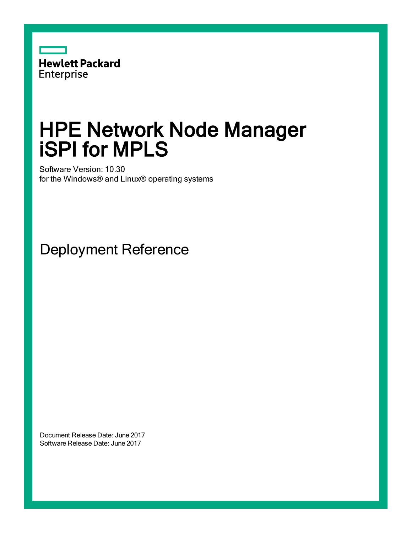

# HPE Network Node Manager iSPI for MPLS

Software Version: 10.30 for the Windows® and Linux® operating systems

Deployment Reference

Document Release Date: June 2017 Software Release Date: June 2017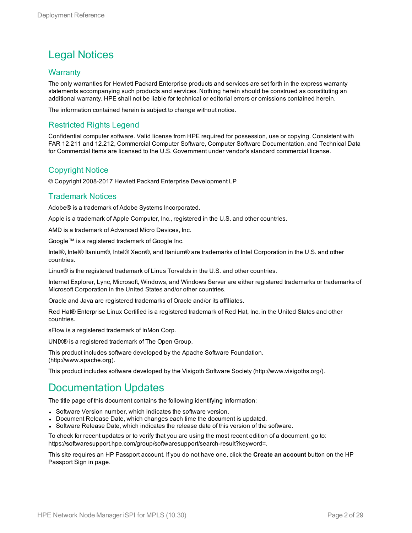#### Legal Notices

#### **Warranty**

The only warranties for Hewlett Packard Enterprise products and services are set forth in the express warranty statements accompanying such products and services. Nothing herein should be construed as constituting an additional warranty. HPE shall not be liable for technical or editorial errors or omissions contained herein.

The information contained herein is subject to change without notice.

#### Restricted Rights Legend

Confidential computer software. Valid license from HPE required for possession, use or copying. Consistent with FAR 12.211 and 12.212, Commercial Computer Software, Computer Software Documentation, and Technical Data for Commercial Items are licensed to the U.S. Government under vendor's standard commercial license.

#### Copyright Notice

© Copyright 2008-2017 Hewlett Packard Enterprise Development LP

#### Trademark Notices

Adobe® is a trademark of Adobe Systems Incorporated.

Apple is a trademark of Apple Computer, Inc., registered in the U.S. and other countries.

AMD is a trademark of Advanced Micro Devices, Inc.

Google™ is a registered trademark of Google Inc.

Intel®, Intel® Itanium®, Intel® Xeon®, and Itanium® are trademarks of Intel Corporation in the U.S. and other countries.

Linux® is the registered trademark of Linus Torvalds in the U.S. and other countries.

Internet Explorer, Lync, Microsoft, Windows, and Windows Server are either registered trademarks or trademarks of Microsoft Corporation in the United States and/or other countries.

Oracle and Java are registered trademarks of Oracle and/or its affiliates.

Red Hat® Enterprise Linux Certified is a registered trademark of Red Hat, Inc. in the United States and other countries.

sFlow is a registered trademark of InMon Corp.

UNIX® is a registered trademark of The Open Group.

This product includes software developed by the Apache Software Foundation. (http://www.apache.org).

This product includes software developed by the Visigoth Software Society (http://www.visigoths.org/).

#### Documentation Updates

The title page of this document contains the following identifying information:

- Software Version number, which indicates the software version.
- Document Release Date, which changes each time the document is updated.
- <sup>l</sup> Software Release Date, which indicates the release date of this version of the software.

To check for recent updates or to verify that you are using the most recent edition of a document, go to: https://softwaresupport.hpe.com/group/softwaresupport/search-result?keyword=.

This site requires an HP Passport account. If you do not have one, click the **Create an account** button on the HP Passport Sign in page.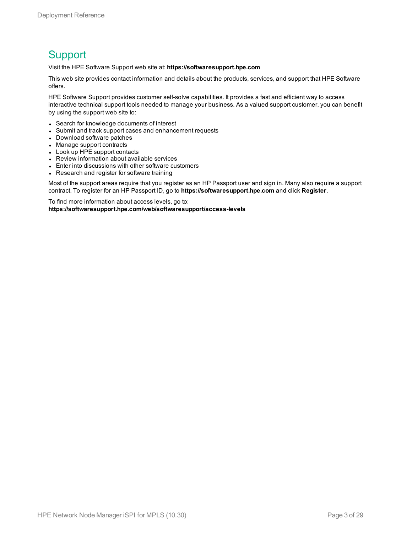#### **Support**

Visit the HPE Software Support web site at: **https://softwaresupport.hpe.com**

This web site provides contact information and details about the products, services, and support that HPE Software offers.

HPE Software Support provides customer self-solve capabilities. It provides a fast and efficient way to access interactive technical support tools needed to manage your business. As a valued support customer, you can benefit by using the support web site to:

- Search for knowledge documents of interest
- Submit and track support cases and enhancement requests
- Download software patches
- Manage support contracts
- Look up HPE support contacts
- Review information about available services
- Enter into discussions with other software customers
- Research and register for software training

Most of the support areas require that you register as an HP Passport user and sign in. Many also require a support contract. To register for an HP Passport ID, go to **https://softwaresupport.hpe.com** and click **Register**.

To find more information about access levels, go to: **https://softwaresupport.hpe.com/web/softwaresupport/access-levels**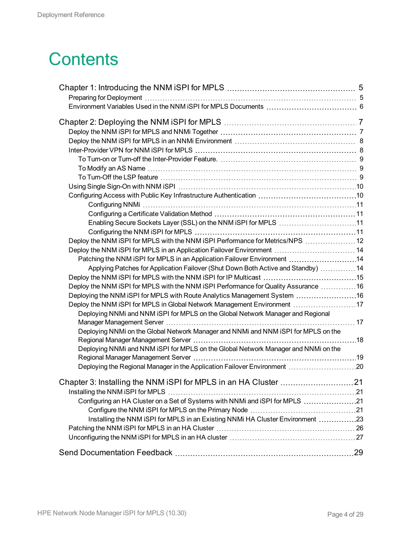# **Contents**

| Enabling Secure Sockets Layer (SSL) on the NNM iSPI for MPLS 11                      |     |
|--------------------------------------------------------------------------------------|-----|
|                                                                                      |     |
| Deploy the NNM iSPI for MPLS with the NNM iSPI Performance for Metrics/NPS  12       |     |
| Deploy the NNM iSPI for MPLS in an Application Failover Environment  14              |     |
| Patching the NNM iSPI for MPLS in an Application Failover Environment 14             |     |
| Applying Patches for Application Failover (Shut Down Both Active and Standby)  14    |     |
|                                                                                      |     |
| Deploy the NNM iSPI for MPLS with the NNM iSPI Performance for Quality Assurance  16 |     |
| Deploying the NNM iSPI for MPLS with Route Analytics Management System 16            |     |
| Deploy the NNM iSPI for MPLS in Global Network Management Environment 17             |     |
| Deploying NNMi and NNM iSPI for MPLS on the Global Network Manager and Regional      |     |
| Deploying NNMi on the Global Network Manager and NNMi and NNM iSPI for MPLS on the   |     |
|                                                                                      |     |
| Deploying NNMi and NNM iSPI for MPLS on the Global Network Manager and NNMi on the   |     |
|                                                                                      |     |
| Deploying the Regional Manager in the Application Failover Environment 20            |     |
|                                                                                      |     |
| Chapter 3: Installing the NNM iSPI for MPLS in an HA Cluster                         | .21 |
|                                                                                      |     |
| Configuring an HA Cluster on a Set of Systems with NNMi and iSPI for MPLS 21         |     |
|                                                                                      |     |
| Installing the NNM iSPI for MPLS in an Existing NNMi HA Cluster Environment 23       |     |
|                                                                                      |     |
|                                                                                      |     |
|                                                                                      |     |
|                                                                                      |     |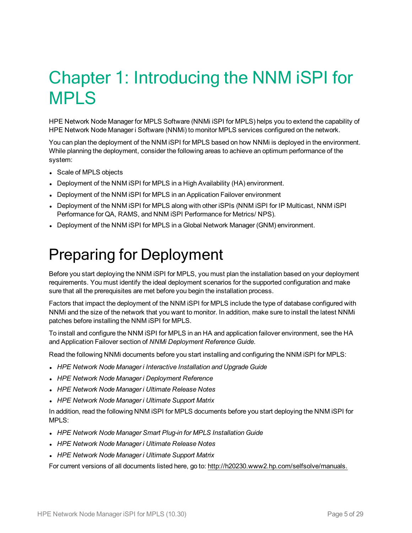# <span id="page-4-0"></span>Chapter 1: Introducing the NNM iSPI for MPLS

HPE Network Node Manager for MPLS Software (NNMi iSPI for MPLS) helps you to extend the capability of HPE Network Node Manager i Software (NNMi) to monitor MPLS services configured on the network.

You can plan the deployment of the NNM iSPI for MPLS based on how NNMi is deployed in the environment. While planning the deployment, consider the following areas to achieve an optimum performance of the system:

- Scale of MPLS objects
- Deployment of the NNM iSPI for MPLS in a High Availability (HA) environment.
- Deployment of the NNM iSPI for MPLS in an Application Failover environment
- <sup>l</sup> Deployment of the NNM iSPI for MPLS along with other iSPIs (NNM iSPI for IP Multicast, NNM iSPI Performance for QA, RAMS, and NNM iSPI Performance for Metrics/ NPS).
- <span id="page-4-1"></span>• Deployment of the NNM iSPI for MPLS in a Global Network Manager (GNM) environment.

### Preparing for Deployment

Before you start deploying the NNM iSPI for MPLS, you must plan the installation based on your deployment requirements. You must identify the ideal deployment scenarios for the supported configuration and make sure that all the prerequisites are met before you begin the installation process.

Factors that impact the deployment of the NNM iSPI for MPLS include the type of database configured with NNMi and the size of the network that you want to monitor. In addition, make sure to install the latest NNMi patches before installing the NNM iSPI for MPLS.

To install and configure the NNM iSPI for MPLS in an HA and application failover environment, see the HA and Application Failover section of *NNMi Deployment Reference Guide*.

Read the following NNMi documents before you start installing and configuring the NNM iSPI for MPLS:

- <sup>l</sup> *HPE Network Node Manager i Interactive Installation and Upgrade Guide*
- <sup>l</sup> *HPE Network Node Manager i Deployment Reference*
- <sup>l</sup> *HPE Network Node Manager i Ultimate Release Notes*
- <sup>l</sup> *HPE Network Node Manager i Ultimate Support Matrix*

In addition, read the following NNM iSPI for MPLS documents before you start deploying the NNM iSPI for MPLS:

- <sup>l</sup> *HPE Network Node Manager Smart Plug-in for MPLS Installation Guide*
- <sup>l</sup> *HPE Network Node Manager i Ultimate Release Notes*
- <sup>l</sup> *HPE Network Node Manager i Ultimate Support Matrix*

For current versions of all documents listed here, go to: http://h20230.www2.hp.com/selfsolve/manuals.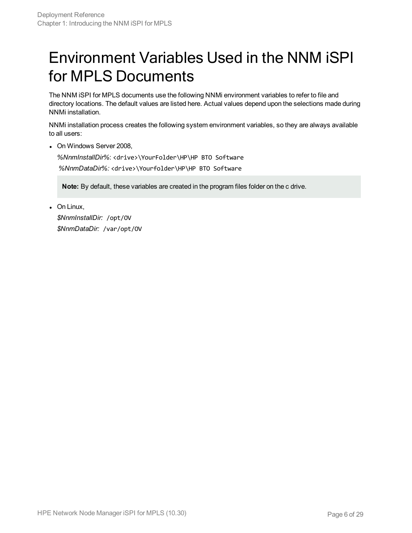## <span id="page-5-0"></span>Environment Variables Used in the NNM iSPI for MPLS Documents

The NNM iSPI for MPLS documents use the following NNMi environment variables to refer to file and directory locations. The default values are listed here. Actual values depend upon the selections made during NNMi installation.

NNMi installation process creates the following system environment variables, so they are always available to all users:

• On Windows Server 2008.

*%NnmInstallDir%*: <drive>\YourFolder\HP\HP BTO Software *%NnmDataDir%:* <drive>\Yourfolder\HP\HP BTO Software

**Note:** By default, these variables are created in the program files folder on the c drive.

 $\bullet$  On Linux, *\$NnmInstallDir:* /opt/OV *\$NnmDataDir:* /var/opt/OV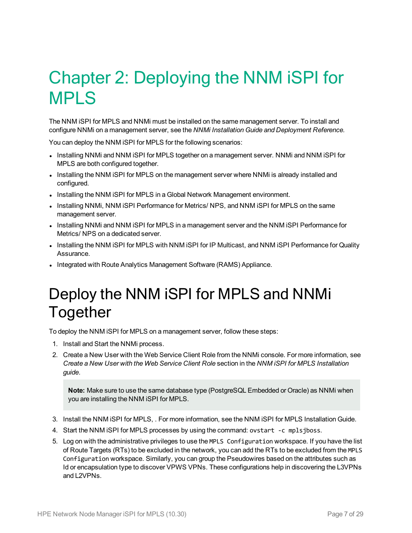# <span id="page-6-0"></span>Chapter 2: Deploying the NNM iSPI for MPLS

The NNM iSPI for MPLS and NNMi must be installed on the same management server. To install and configure NNMi on a management server, see the *NNMi Installation Guide and Deployment Reference.*

You can deploy the NNM iSPI for MPLS for the following scenarios:

- Installing NNMi and NNM iSPI for MPLS together on a management server. NNMi and NNM iSPI for MPLS are both configured together.
- Installing the NNM iSPI for MPLS on the management server where NNMi is already installed and configured.
- Installing the NNM iSPI for MPLS in a Global Network Management environment.
- Installing NNMi, NNM iSPI Performance for Metrics/ NPS, and NNM iSPI for MPLS on the same management server.
- Installing NNMi and NNM iSPI for MPLS in a management server and the NNM iSPI Performance for Metrics/ NPS on a dedicated server.
- Installing the NNM iSPI for MPLS with NNM iSPI for IP Multicast, and NNM iSPI Performance for Quality Assurance.
- <span id="page-6-1"></span>• Integrated with Route Analytics Management Software (RAMS) Appliance.

### Deploy the NNM iSPI for MPLS and NNMi **Together**

To deploy the NNM iSPI for MPLS on a management server, follow these steps:

- 1. Install and Start the NNMi process.
- 2. Create a New User with the Web Service Client Role from the NNMi console. For more information, see *Create a New User with the Web Service Client Role* section in the *NNM iSPI for MPLS Installation guide*.

**Note:** Make sure to use the same database type (PostgreSQL Embedded or Oracle) as NNMi when you are installing the NNM iSPI for MPLS.

- 3. Install the NNM iSPI for MPLS, . For more information, see the NNM iSPI for MPLS Installation Guide.
- 4. Start the NNM iSPI for MPLS processes by using the command: ovstart -c mplsjboss.
- 5. Log on with the administrative privileges to use the MPLS Configuration workspace. If you have the list of Route Targets (RTs) to be excluded in the network, you can add the RTs to be excluded from the MPLS Configuration workspace. Similarly, you can group the Pseudowires based on the attributes such as Id or encapsulation type to discover VPWS VPNs. These configurations help in discovering the L3VPNs and L2VPNs.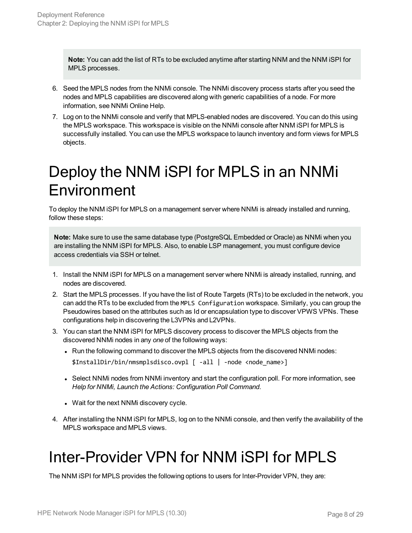**Note:** You can add the list of RTs to be excluded anytime after starting NNM and the NNM iSPI for MPLS processes.

- 6. Seed the MPLS nodes from the NNMi console. The NNMi discovery process starts after you seed the nodes and MPLS capabilities are discovered along with generic capabilities of a node. For more information, see NNMi Online Help.
- 7. Log on to the NNMi console and verify that MPLS-enabled nodes are discovered. You can do this using the MPLS workspace. This workspace is visible on the NNMi console after NNM iSPI for MPLS is successfully installed. You can use the MPLS workspace to launch inventory and form views for MPLS objects.

## <span id="page-7-0"></span>Deploy the NNM iSPI for MPLS in an NNMi Environment

To deploy the NNM iSPI for MPLS on a management server where NNMi is already installed and running, follow these steps:

**Note:** Make sure to use the same database type (PostgreSQL Embedded or Oracle) as NNMi when you are installing the NNM iSPI for MPLS. Also, to enable LSP management, you must configure device access credentials via SSH or telnet.

- 1. Install the NNM iSPI for MPLS on a management server where NNMi is already installed, running, and nodes are discovered.
- 2. Start the MPLS processes. If you have the list of Route Targets (RTs) to be excluded in the network, you can add the RTs to be excluded from the MPLS Configuration workspace. Similarly, you can group the Pseudowires based on the attributes such as Id or encapsulation type to discover VPWS VPNs. These configurations help in discovering the L3VPNs and L2VPNs.
- 3. You can start the NNM iSPI for MPLS discovery process to discover the MPLS objects from the discovered NNMi nodes in any *one* of the following ways:
	- Run the following command to discover the MPLS objects from the discovered NNMi nodes: \$InstallDir/bin/nmsmplsdisco.ovpl [ -all | -node <node\_name>]
	- Select NNMi nodes from NNMi inventory and start the configuration poll. For more information, see *Help for NNMi, Launch the Actions: Configuration Poll Command*.
	- Wait for the next NNMi discovery cycle.
- <span id="page-7-1"></span>4. After installing the NNM iSPI for MPLS, log on to the NNMi console, and then verify the availability of the MPLS workspace and MPLS views.

# Inter-Provider VPN for NNM iSPI for MPLS

The NNM iSPI for MPLS provides the following options to users for Inter-Provider VPN, they are: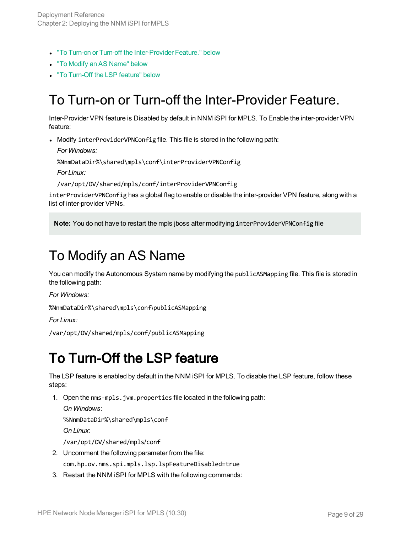- "To Turn-on or Turn-off the [Inter-Provider](#page-8-0) Feature." below
- <sup>l</sup> "To Modify an AS [Name"](#page-8-1) below
- <span id="page-8-0"></span>• "To [Turn-Off](#page-8-2) the LSP feature" below

#### To Turn-on or Turn-off the Inter-Provider Feature.

Inter-Provider VPN feature is Disabled by default in NNM iSPI for MPLS. To Enable the inter-provider VPN feature:

• Modify interProviderVPNConfig file. This file is stored in the following path:

```
For Windows:
```
%NnmDataDir%\shared\mpls\conf\interProviderVPNConfig

*For Linux:*

/var/opt/OV/shared/mpls/conf/interProviderVPNConfig

interProviderVPNConfig has a global flag to enable or disable the inter-provider VPN feature, along with a list of inter-provider VPNs.

<span id="page-8-1"></span>**Note:** You do not have to restart the mpls jboss after modifying interProviderVPNConfig file

#### To Modify an AS Name

You can modify the Autonomous System name by modifying the publicASMapping file. This file is stored in the following path:

*For Windows:*

%NnmDataDir%\shared\mpls\conf\publicASMapping

*For Linux:*

<span id="page-8-2"></span>/var/opt/OV/shared/mpls/conf/publicASMapping

#### To Turn-Off the LSP feature

The LSP feature is enabled by default in the NNM iSPI for MPLS. To disable the LSP feature, follow these steps:

1. Open the nms-mpls.jvm.properties file located in the following path:

*On Windows*:

%NnmDataDir%\shared\mpls\conf

*On Linux*:

/var/opt/OV/shared/mpls/conf

- 2. Uncomment the following parameter from the file: com.hp.ov.nms.spi.mpls.lsp.lspFeatureDisabled=true
- 3. Restart the NNM iSPI for MPLS with the following commands: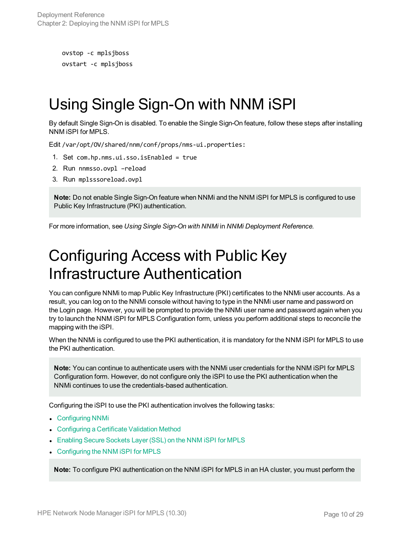```
ovstop -c mplsjboss
ovstart -c mplsjboss
```
## <span id="page-9-0"></span>Using Single Sign-On with NNM iSPI

By default Single Sign-On is disabled. To enable the Single Sign-On feature, follow these steps after installing NNM iSPI for MPLS.

Edit /var/opt/OV/shared/nnm/conf/props/nms-ui.properties:

- 1. Set com.hp.nms.ui.sso.isEnabled = true
- 2. Run nnmsso.ovpl –reload
- 3. Run mplsssoreload.ovpl

**Note:** Do not enable Single Sign-On feature when NNMi and the NNM iSPI for MPLS is configured to use Public Key Infrastructure (PKI) authentication.

<span id="page-9-1"></span>For more information, see *Using Single Sign-On with NNMi* in *NNMi Deployment Reference.*

## Configuring Access with Public Key Infrastructure Authentication

You can configure NNMi to map Public Key Infrastructure (PKI) certificates to the NNMi user accounts. As a result, you can log on to the NNMi console without having to type in the NNMi user name and password on the Login page. However, you will be prompted to provide the NNMi user name and password again when you try to launch the NNM iSPI for MPLS Configuration form, unless you perform additional steps to reconcile the mapping with the iSPI.

When the NNMi is configured to use the PKI authentication, it is mandatory for the NNM iSPI for MPLS to use the PKI authentication.

**Note:** You can continue to authenticate users with the NNMi user credentials for the NNM iSPI for MPLS Configuration form. However, do not configure only the iSPI to use the PKI authentication when the NNMi continues to use the credentials-based authentication.

Configuring the iSPI to use the PKI authentication involves the following tasks:

- [Configuring](#page-10-0) NNMi
- [Configuring](#page-10-1) a Certificate Validation Method
- **[Enabling](#page-10-2) Secure Sockets Layer (SSL) on the NNM iSPI for MPLS**
- [Configuring](#page-10-3) the NNM iSPI for MPLS

**Note:** To configure PKI authentication on the NNM iSPI for MPLS in an HA cluster, you must perform the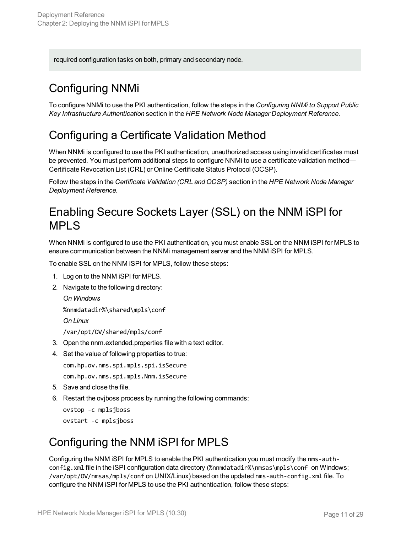<span id="page-10-0"></span>required configuration tasks on both, primary and secondary node.

#### Configuring NNMi

To configure NNMi to use the PKI authentication, follow the steps in the *Configuring NNMi to Support Public Key Infrastructure Authentication* section in the *HPE Network Node Manager Deployment Reference.*

#### <span id="page-10-1"></span>Configuring a Certificate Validation Method

When NNMi is configured to use the PKI authentication, unauthorized access using invalid certificates must be prevented. You must perform additional steps to configure NNMi to use a certificate validation method— Certificate Revocation List (CRL) or Online Certificate Status Protocol (OCSP).

Follow the steps in the *Certificate Validation (CRL and OCSP)* section in the *HPE Network Node Manager Deployment Reference.*

#### <span id="page-10-2"></span>Enabling Secure Sockets Layer (SSL) on the NNM iSPI for MPLS

When NNMi is configured to use the PKI authentication, you must enable SSL on the NNM iSPI for MPLS to ensure communication between the NNMi management server and the NNM iSPI for MPLS.

To enable SSL on the NNM iSPI for MPLS, follow these steps:

- 1. Log on to the NNM iSPI for MPLS.
- 2. Navigate to the following directory:

*On Windows*

%nnmdatadir%\shared\mpls\conf

*On Linux*

/var/opt/OV/shared/mpls/conf

- 3. Open the nnm.extended.properties file with a text editor.
- 4. Set the value of following properties to true:

com.hp.ov.nms.spi.mpls.spi.isSecure

com.hp.ov.nms.spi.mpls.Nnm.isSecure

- 5. Save and close the file.
- 6. Restart the ovjboss process by running the following commands:

ovstop -c mplsjboss ovstart -c mplsjboss

#### <span id="page-10-3"></span>Configuring the NNM iSPI for MPLS

Configuring the NNM iSPI for MPLS to enable the PKI authentication you must modify the nms-authconfig.xml file in the iSPI configuration data directory (%nnmdatadir%\nmsas\mpls\conf on Windows; /var/opt/OV/nmsas/mpls/conf on UNIX/Linux) based on the updated nms-auth-config.xml file. To configure the NNM iSPI for MPLS to use the PKI authentication, follow these steps: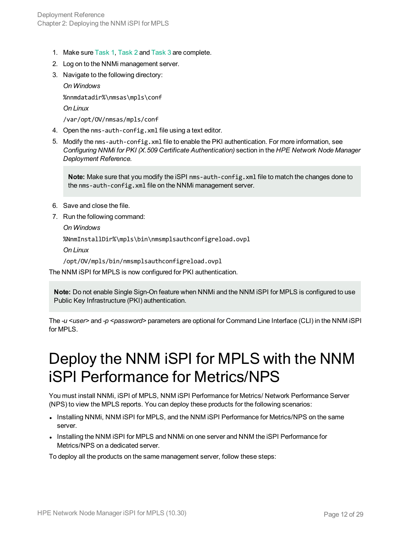- 1. Make sure [Task](#page-10-0) 1, [Task](#page-10-1) 2 and [Task](#page-10-2) 3 are complete.
- 2. Log on to the NNMi management server.
- 3. Navigate to the following directory:

*On Windows*

%nnmdatadir%\nmsas\mpls\conf

*On Linux*

/var/opt/OV/nmsas/mpls/conf

- 4. Open the nms-auth-config.xml file using a text editor.
- 5. Modify the nms-auth-config.xml file to enable the PKI authentication. For more information, see *Configuring NNMi for PKI (X.509 Certificate Authentication)* section in the *HPE Network Node Manager Deployment Reference.*

**Note:** Make sure that you modify the iSPI nms-auth-config.xml file to match the changes done to the nms-auth-config.xml file on the NNMi management server.

- 6. Save and close the file.
- 7. Run the following command:

*On Windows*

%NnmInstallDir%\mpls\bin\nmsmplsauthconfigreload.ovpl

*On Linux*

/opt/OV/mpls/bin/nmsmplsauthconfigreload.ovpl

The NNM iSPI for MPLS is now configured for PKI authentication.

**Note:** Do not enable Single Sign-On feature when NNMi and the NNM iSPI for MPLS is configured to use Public Key Infrastructure (PKI) authentication.

<span id="page-11-0"></span>The *-u <user>* and *-p <password>* parameters are optional for Command Line Interface (CLI) in the NNM iSPI for MPLS.

## Deploy the NNM iSPI for MPLS with the NNM iSPI Performance for Metrics/NPS

You must install NNMi, iSPI of MPLS, NNM iSPI Performance for Metrics/ Network Performance Server (NPS) to view the MPLS reports. You can deploy these products for the following scenarios:

- Installing NNMi, NNM iSPI for MPLS, and the NNM iSPI Performance for Metrics/NPS on the same server.
- Installing the NNM iSPI for MPLS and NNMi on one server and NNM the iSPI Performance for Metrics/NPS on a dedicated server.

To deploy all the products on the same management server, follow these steps: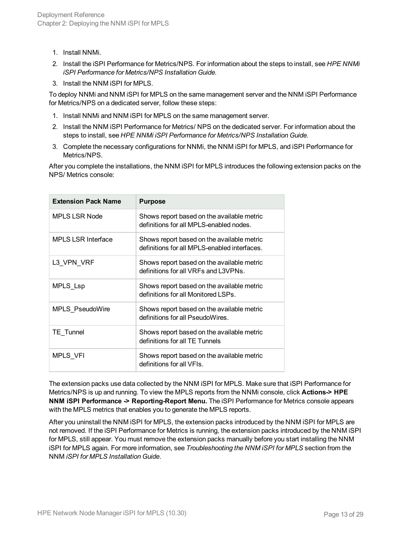- 1. Install NNMi.
- 2. Install the iSPI Performance for Metrics/NPS. For information about the steps to install, see *HPE NNMi iSPI Performance for Metrics/NPS Installation Guide.*
- 3. Install the NNM iSPI for MPLS.

To deploy NNMi and NNM iSPI for MPLS on the same management server and the NNM iSPI Performance for Metrics/NPS on a dedicated server, follow these steps:

- 1. Install NNMi and NNM iSPI for MPLS on the same management server.
- 2. Install the NNM iSPI Performance for Metrics/ NPS on the dedicated server. For information about the steps to install, see *HPE NNMi iSPI Performance for Metrics/NPS Installation Guide.*
- 3. Complete the necessary configurations for NNMi, the NNM iSPI for MPLS, and iSPI Performance for Metrics/NPS.

After you complete the installations, the NNM iSPI for MPLS introduces the following extension packs on the NPS/ Metrics console:

| <b>Extension Pack Name</b> | <b>Purpose</b>                                                                             |
|----------------------------|--------------------------------------------------------------------------------------------|
| <b>MPLS LSR Node</b>       | Shows report based on the available metric<br>definitions for all MPLS-enabled nodes.      |
| <b>MPLS LSR Interface</b>  | Shows report based on the available metric<br>definitions for all MPLS-enabled interfaces. |
| L3 VPN_VRF                 | Shows report based on the available metric<br>definitions for all VRFs and L3VPNs.         |
| MPLS_Lsp                   | Shows report based on the available metric<br>definitions for all Monitored LSPs.          |
| MPLS PseudoWire            | Shows report based on the available metric<br>definitions for all PseudoWires.             |
| <b>TE</b> Tunnel           | Shows report based on the available metric<br>definitions for all TE Tunnels               |
| MPLS VFI                   | Shows report based on the available metric<br>definitions for all VFIs.                    |

The extension packs use data collected by the NNM iSPI for MPLS. Make sure that iSPI Performance for Metrics/NPS is up and running. To view the MPLS reports from the NNMi console, click **Actions-> HPE NNM iSPI Performance -> Reporting-Report Menu.** The iSPI Performance for Metrics console appears with the MPLS metrics that enables you to generate the MPLS reports.

After you uninstall the NNM iSPI for MPLS, the extension packs introduced by the NNM iSPI for MPLS are not removed. If the iSPI Performance for Metrics is running, the extension packs introduced by the NNM iSPI for MPLS, still appear. You must remove the extension packs manually before you start installing the NNM iSPI for MPLS again. For more information, see *Troubleshooting the NNM iSPI for MPLS* section from the NNM *iSPI for MPLS Installation Guide*.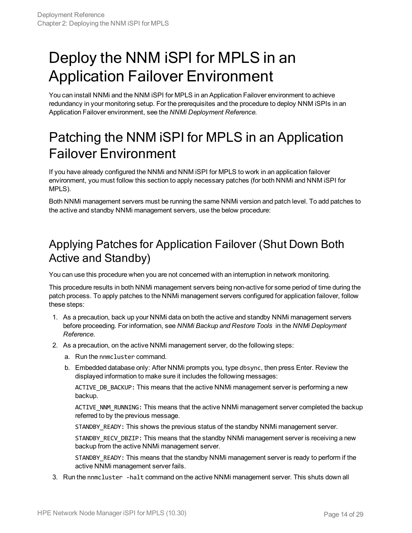# <span id="page-13-0"></span>Deploy the NNM iSPI for MPLS in an Application Failover Environment

You can install NNMi and the NNM iSPI for MPLS in an Application Failover environment to achieve redundancy in your monitoring setup. For the prerequisites and the procedure to deploy NNM iSPIs in an Application Failover environment, see the *NNMi Deployment Reference.*

### <span id="page-13-1"></span>Patching the NNM iSPI for MPLS in an Application Failover Environment

If you have already configured the NNMi and NNM iSPI for MPLS to work in an application failover environment, you must follow this section to apply necessary patches (for both NNMi and NNM iSPI for MPLS).

Both NNMi management servers must be running the same NNMi version and patch level. To add patches to the active and standby NNMi management servers, use the below procedure:

#### <span id="page-13-2"></span>Applying Patches for Application Failover (Shut Down Both Active and Standby)

You can use this procedure when you are not concerned with an interruption in network monitoring.

This procedure results in both NNMi management servers being non-active for some period of time during the patch process. To apply patches to the NNMi management servers configured for application failover, follow these steps:

- 1. As a precaution, back up your NNMi data on both the active and standby NNMi management servers before proceeding. For information, see *NNMi Backup and Restore Tools* in the *NNMi Deployment Reference*.
- 2. As a precaution, on the active NNMi management server, do the following steps:
	- a. Run the nnmcluster command.
	- b. Embedded database only: After NNMi prompts you, type dbsync, then press Enter. Review the displayed information to make sure it includes the following messages:

ACTIVE\_DB\_BACKUP: This means that the active NNMi management server is performing a new backup.

ACTIVE\_NNM\_RUNNING: This means that the active NNMi management server completed the backup referred to by the previous message.

STANDBY READY: This shows the previous status of the standby NNMi management server.

STANDBY\_RECV\_DBZIP: This means that the standby NNMi management server is receiving a new backup from the active NNMi management server.

STANDBY READY: This means that the standby NNMi management server is ready to perform if the active NNMi management server fails.

3. Run the nnmcluster -halt command on the active NNMi management server. This shuts down all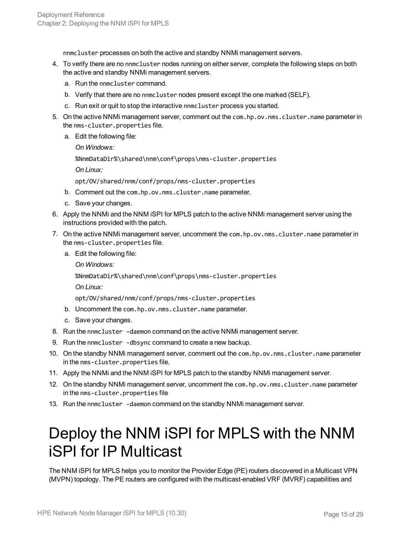nnmcluster processes on both the active and standby NNMi management servers.

- 4. To verify there are no nnmcluster nodes running on either server, complete the following steps on both the active and standby NNMi management servers.
	- a. Run the nnmcluster command.
	- b. Verify that there are no nnmcluster nodes present except the one marked (SELF).
	- c. Run exit or quit to stop the interactive nnmcluster process you started.
- 5. On the active NNMi management server, comment out the com.hp.ov.nms.cluster.name parameter in the nms-cluster.properties file.
	- a. Edit the following file:

*On Windows:*

%NnmDataDir%\shared\nnm\conf\props\nms-cluster.properties

*On Linux:*

opt/OV/shared/nnm/conf/props/nms-cluster.properties

- b. Comment out the com.hp.ov.nms.cluster.name parameter.
- c. Save your changes.
- 6. Apply the NNMi and the NNM iSPI for MPLS patch to the active NNMi management server using the instructions provided with the patch.
- 7. On the active NNMi management server, uncomment the com.hp.ov.nms.cluster.name parameter in the nms-cluster.properties file.
	- a. Edit the following file:

*On Windows:*

%NnmDataDir%\shared\nnm\conf\props\nms-cluster.properties

*On Linux:*

opt/OV/shared/nnm/conf/props/nms-cluster.properties

- b. Uncomment the com.hp.ov.nms.cluster.name parameter.
- c. Save your changes.
- 8. Run the nnmcluster –daemon command on the active NNMi management server.
- 9. Run the nnmcluster -dbsync command to create a new backup.
- 10. On the standby NNMi management server, comment out the com.hp.ov.nms.cluster.name parameter in the nms-cluster.properties file.
- 11. Apply the NNMi and the NNM iSPI for MPLS patch to the standby NNMi management server.
- 12. On the standby NNMi management server, uncomment the com.hp.ov.nms.cluster.name parameter in the nms-cluster.properties file
- <span id="page-14-0"></span>13. Run the nnmcluster -daemon command on the standby NNMi management server.

## Deploy the NNM iSPI for MPLS with the NNM iSPI for IP Multicast

The NNM iSPI for MPLS helps you to monitor the Provider Edge (PE) routers discovered in a Multicast VPN (MVPN) topology. The PE routers are configured with the multicast-enabled VRF (MVRF) capabilities and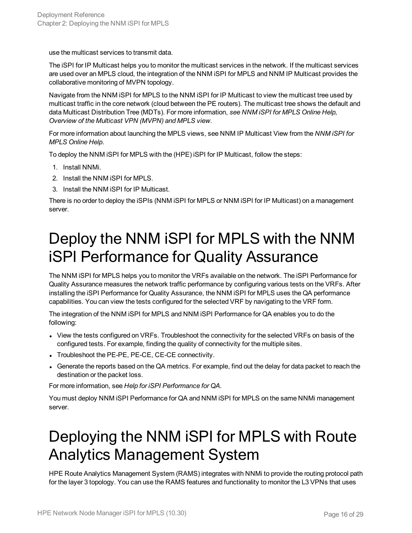use the multicast services to transmit data.

The iSPI for IP Multicast helps you to monitor the multicast services in the network. If the multicast services are used over an MPLS cloud, the integration of the NNM iSPI for MPLS and NNM IP Multicast provides the collaborative monitoring of MVPN topology.

Navigate from the NNM iSPI for MPLS to the NNM iSPI for IP Multicast to view the multicast tree used by multicast traffic in the core network (cloud between the PE routers). The multicast tree shows the default and data Multicast Distribution Tree (MDTs). For more information, *see NNM iSPI for MPLS Online Help, Overview of the Multicast VPN (MVPN) and MPLS view.*

For more information about launching the MPLS views, see NNM IP Multicast View from the *NNM iSPI for MPLS Online Help*.

To deploy the NNM iSPI for MPLS with the (HPE) iSPI for IP Multicast, follow the steps:

- 1. Install NNMi.
- 2. Install the NNM iSPI for MPLS.
- 3. Install the NNM iSPI for IP Multicast.

<span id="page-15-0"></span>There is no order to deploy the iSPIs (NNM iSPI for MPLS or NNM iSPI for IP Multicast) on a management server.

## Deploy the NNM iSPI for MPLS with the NNM iSPI Performance for Quality Assurance

The NNM iSPI for MPLS helps you to monitor the VRFs available on the network. The iSPI Performance for Quality Assurance measures the network traffic performance by configuring various tests on the VRFs. After installing the iSPI Performance for Quality Assurance, the NNM iSPI for MPLS uses the QA performance capabilities. You can view the tests configured for the selected VRF by navigating to the VRF form.

The integration of the NNM iSPI for MPLS and NNM iSPI Performance for QA enables you to do the following:

- View the tests configured on VRFs. Troubleshoot the connectivity for the selected VRFs on basis of the configured tests. For example, finding the quality of connectivity for the multiple sites.
- Troubleshoot the PE-PE, PE-CE, CE-CE connectivity.
- Generate the reports based on the QA metrics. For example, find out the delay for data packet to reach the destination or the packet loss.

For more information, see *Help for iSPI Performance for QA.*

<span id="page-15-1"></span>You must deploy NNM iSPI Performance for QA and NNM iSPI for MPLS on the same NNMi management server.

## Deploying the NNM iSPI for MPLS with Route Analytics Management System

HPE Route Analytics Management System (RAMS) integrates with NNMi to provide the routing protocol path for the layer 3 topology. You can use the RAMS features and functionality to monitor the L3 VPNs that uses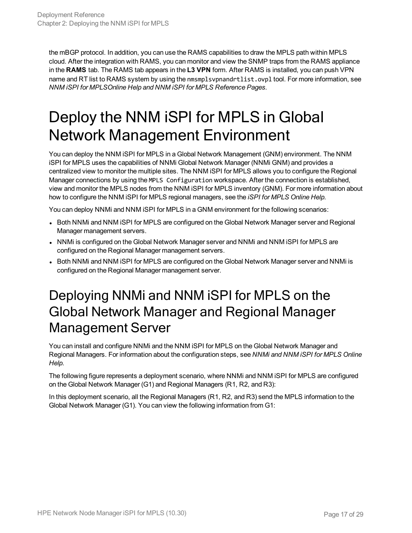the mBGP protocol. In addition, you can use the RAMS capabilities to draw the MPLS path within MPLS cloud. After the integration with RAMS, you can monitor and view the SNMP traps from the RAMS appliance in the **RAMS** tab. The RAMS tab appears in the **L3 VPN** form. After RAMS is installed, you can push VPN name and RT list to RAMS system by using the nmsmplsvpnandrtlist.ovpl tool. For more information, see *NNM iSPI for MPLSOnline Help and NNM iSPI for MPLS Reference Pages.*

# <span id="page-16-0"></span>Deploy the NNM iSPI for MPLS in Global Network Management Environment

You can deploy the NNM iSPI for MPLS in a Global Network Management (GNM) environment. The NNM iSPI for MPLS uses the capabilities of NNMi Global Network Manager (NNMi GNM) and provides a centralized view to monitor the multiple sites. The NNM iSPI for MPLS allows you to configure the Regional Manager connections by using the MPLS Configuration workspace. After the connection is established, view and monitor the MPLS nodes from the NNM iSPI for MPLS inventory (GNM). For more information about how to configure the NNM iSPI for MPLS regional managers, see the *iSPI for MPLS Online Help.*

You can deploy NNMi and NNM iSPI for MPLS in a GNM environment for the following scenarios:

- Both NNMi and NNM iSPI for MPLS are configured on the Global Network Manager server and Regional Manager management servers.
- NNMi is configured on the Global Network Manager server and NNMi and NNM iSPI for MPLS are configured on the Regional Manager management servers.
- <span id="page-16-1"></span>• Both NNMi and NNM iSPI for MPLS are configured on the Global Network Manager server and NNMi is configured on the Regional Manager management server.

### Deploying NNMi and NNM iSPI for MPLS on the Global Network Manager and Regional Manager Management Server

You can install and configure NNMi and the NNM iSPI for MPLS on the Global Network Manager and Regional Managers. For information about the configuration steps, see *NNMi and NNM iSPI for MPLS Online Help.*

The following figure represents a deployment scenario, where NNMi and NNM iSPI for MPLS are configured on the Global Network Manager (G1) and Regional Managers (R1, R2, and R3):

In this deployment scenario, all the Regional Managers (R1, R2, and R3) send the MPLS information to the Global Network Manager (G1). You can view the following information from G1: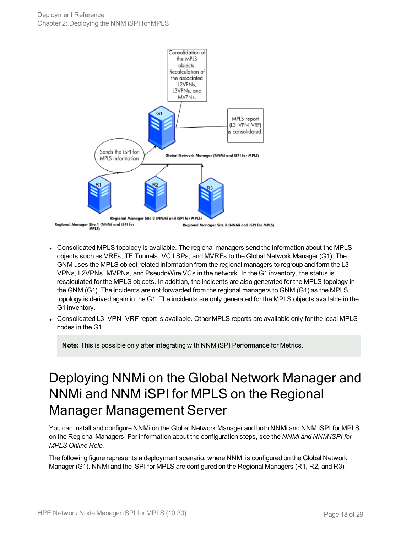

- Consolidated MPLS topology is available. The regional managers send the information about the MPLS objects such as VRFs, TE Tunnels, VC LSPs, and MVRFs to the Global Network Manager (G1). The GNM uses the MPLS object related information from the regional managers to regroup and form the L3 VPNs, L2VPNs, MVPNs, and PseudoWire VCs in the network. In the G1 inventory, the status is recalculated for the MPLS objects. In addition, the incidents are also generated for the MPLS topology in the GNM (G1). The incidents are not forwarded from the regional managers to GNM (G1) as the MPLS topology is derived again in the G1. The incidents are only generated for the MPLS objects available in the G1 inventory.
- Consolidated L3\_VPN\_VRF report is available. Other MPLS reports are available only for the local MPLS nodes in the G1.

**Note:** This is possible only after integrating with NNM iSPI Performance for Metrics.

### <span id="page-17-0"></span>Deploying NNMi on the Global Network Manager and NNMi and NNM iSPI for MPLS on the Regional Manager Management Server

You can install and configure NNMi on the Global Network Manager and both NNMi and NNM iSPI for MPLS on the Regional Managers. For information about the configuration steps, see the *NNMi and NNM iSPI for MPLS Online Help.*

The following figure represents a deployment scenario, where NNMi is configured on the Global Network Manager (G1). NNMi and the iSPI for MPLS are configured on the Regional Managers (R1, R2, and R3):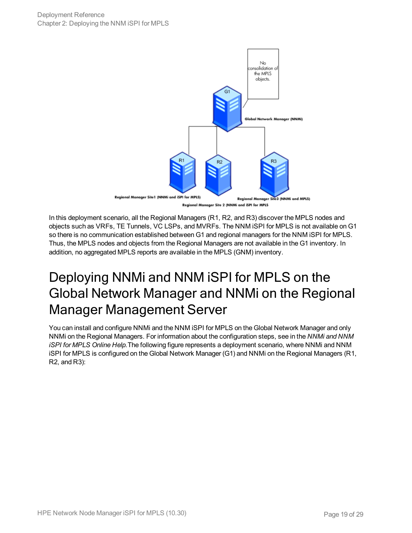

In this deployment scenario, all the Regional Managers (R1, R2, and R3) discover the MPLS nodes and objects such as VRFs, TE Tunnels, VC LSPs, and MVRFs. The NNM iSPI for MPLS is not available on G1 so there is no communication established between G1 and regional managers for the NNM iSPI for MPLS. Thus, the MPLS nodes and objects from the Regional Managers are not available in the G1 inventory. In addition, no aggregated MPLS reports are available in the MPLS (GNM) inventory.

### <span id="page-18-0"></span>Deploying NNMi and NNM iSPI for MPLS on the Global Network Manager and NNMi on the Regional Manager Management Server

You can install and configure NNMi and the NNM iSPI for MPLS on the Global Network Manager and only NNMi on the Regional Managers. For information about the configuration steps, see in the *NNMi and NNM iSPI for MPLS Online Help.*The following figure represents a deployment scenario, where NNMi and NNM iSPI for MPLS is configured on the Global Network Manager (G1) and NNMi on the Regional Managers (R1, R2, and R3):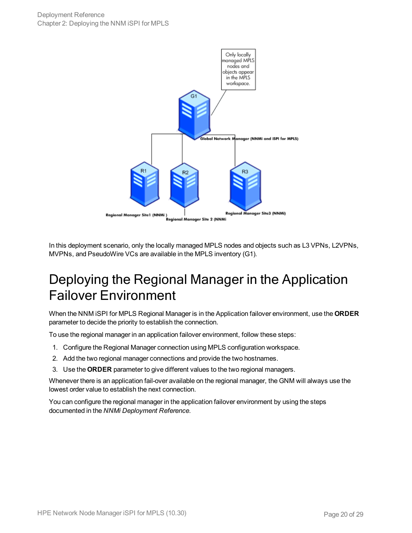

<span id="page-19-0"></span>In this deployment scenario, only the locally managed MPLS nodes and objects such as L3 VPNs, L2VPNs, MVPNs, and PseudoWire VCs are available in the MPLS inventory (G1).

### Deploying the Regional Manager in the Application Failover Environment

When the NNM iSPI for MPLS Regional Manager is in the Application failover environment, use the **ORDER** parameter to decide the priority to establish the connection.

To use the regional manager in an application failover environment, follow these steps:

- 1. Configure the Regional Manager connection using MPLS configuration workspace.
- 2. Add the two regional manager connections and provide the two hostnames.
- 3. Use the **ORDER** parameter to give different values to the two regional managers.

Whenever there is an application fail-over available on the regional manager, the GNM will always use the lowest order value to establish the next connection.

You can configure the regional manager in the application failover environment by using the steps documented in the *NNMi Deployment Reference.*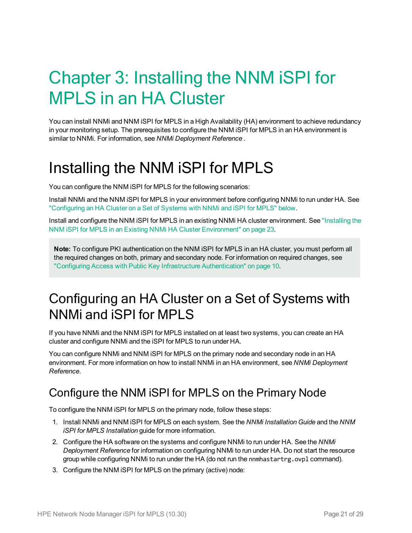# <span id="page-20-0"></span>Chapter 3: Installing the NNM iSPI for MPLS in an HA Cluster

You can install NNMi and NNM iSPI for MPLS in a High Availability (HA) environment to achieve redundancy in your monitoring setup. The prerequisites to configure the NNM iSPI for MPLS in an HA environment is similar to NNMi. For information, see *NNMi Deployment Reference .*

# <span id="page-20-1"></span>Installing the NNM iSPI for MPLS

You can configure the NNM iSPI for MPLS for the following scenarios:

Install NNMi and the NNM iSPI for MPLS in your environment before configuring NNMi to run under HA. See ["Configuring](#page-20-2) an HA Cluster on a Set of Systems with NNMi and iSPI for MPLS" below.

Install and configure the NNM iSPI for MPLS in an existing NNMi HA cluster environment. See ["Installing](#page-22-0) the NNM iSPI for MPLS in an Existing NNMi HA Cluster [Environment"](#page-22-0) on page 23.

**Note:** To configure PKI authentication on the NNM iSPI for MPLS in an HA cluster, you must perform all the required changes on both, primary and secondary node. For information on required changes, see "Configuring Access with Public Key Infrastructure [Authentication"](#page-9-1) on page 10.

### <span id="page-20-2"></span>Configuring an HA Cluster on a Set of Systems with NNMi and iSPI for MPLS

If you have NNMi and the NNM iSPI for MPLS installed on at least two systems, you can create an HA cluster and configure NNMi and the iSPI for MPLS to run under HA.

You can configure NNMi and NNM iSPI for MPLS on the primary node and secondary node in an HA environment. For more information on how to install NNMi in an HA environment, see *NNMi Deployment Reference*.

#### <span id="page-20-3"></span>Configure the NNM iSPI for MPLS on the Primary Node

To configure the NNM iSPI for MPLS on the primary node, follow these steps:

- 1. Install NNMi and NNM iSPI for MPLS on each system. See the *NNMi Installation Guide* and the *NNM iSPI for MPLS Installation* guide for more information.
- 2. Configure the HA software on the systems and configure NNMi to run under HA. See the *NNMi Deployment Reference* for information on configuring NNMi to run under HA. Do not start the resource group while configuring NNMi to run under the HA (do not run the nnmhastartrg.ovpl command).
- 3. Configure the NNM iSPI for MPLS on the primary (active) node: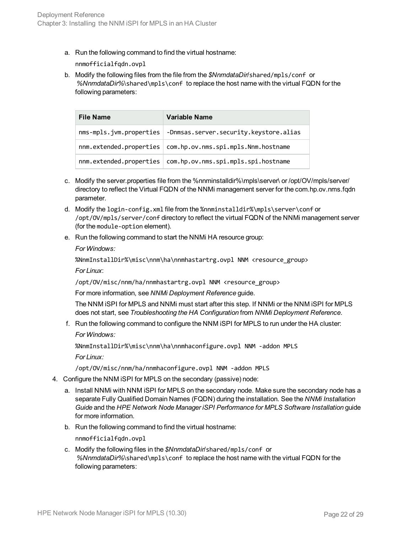a. Run the following command to find the virtual hostname:

nnmofficialfqdn.ovpl

b. Modify the following files from the file from the *\$NnmdataDir*/shared/mpls/conf or *%NnmdataDir%*\shared\mpls\conf to replace the host name with the virtual FQDN for the following parameters:

| <b>File Name</b>        | Variable Name                          |
|-------------------------|----------------------------------------|
| nms-mpls.jvm.properties | -Dnmsas.server.security.keystore.alias |
| nnm.extended.properties | com.hp.ov.nms.spi.mpls.Nnm.hostname    |
| nnm.extended.properties | com.hp.ov.nms.spi.mpls.spi.hostname    |

- c. Modify the server.properties file from the %nnminstalldir%\mpls\server\ or /opt/OV/mpls/server/ directory to reflect the Virtual FQDN of the NNMi management server for the com.hp.ov.nms.fqdn parameter.
- d. Modify the login-config.xml file from the %nnminstalldir%\mpls\server\conf or /opt/OV/mpls/server/conf directory to reflect the virtual FQDN of the NNMi management server (for the module-option element).
- e. Run the following command to start the NNMi HA resource group:

*For Windows:*

%NnmInstallDir%\misc\nnm\ha\nnmhastartrg.ovpl NNM <resource\_group>

*For Linux*:

/opt/OV/misc/nnm/ha/nnmhastartrg.ovpl NNM <resource\_group>

For more information, see *NNMi Deployment Reference* guide.

The NNM iSPI for MPLS and NNMi must start after this step. If NNMi or the NNM iSPI for MPLS does not start, see *Troubleshooting the HA Configuration* from *NNMi Deployment Reference*.

f. Run the following command to configure the NNM iSPI for MPLS to run under the HA cluster: *For Windows:*

%NnmInstallDir%\misc\nnm\ha\nnmhaconfigure.ovpl NNM -addon MPLS *For Linux:*

<span id="page-21-0"></span>/opt/OV/misc/nnm/ha/nnmhaconfigure.ovpl NNM -addon MPLS

- 4. Configure the NNM iSPI for MPLS on the secondary (passive) node:
	- a. Install NNMi with NNM iSPI for MPLS on the secondary node. Make sure the secondary node has a separate Fully Qualified Domain Names (FQDN) during the installation. See the *NNMi Installation Guide* and the *HPE Network Node Manager iSPI Performance for MPLS Software Installation* guide for more information.
	- b. Run the following command to find the virtual hostname:

nnmofficialfqdn.ovpl

c. Modify the following files in the *\$NnmdataDir*/shared/mpls/conf or *%NnmdataDir%*\shared\mpls\conf to replace the host name with the virtual FQDN for the following parameters: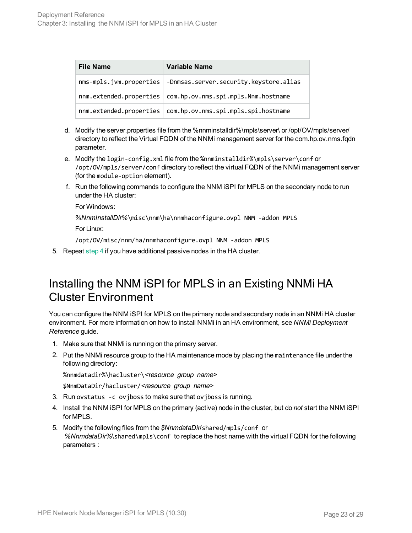| <b>File Name</b>        | Variable Name                                                 |
|-------------------------|---------------------------------------------------------------|
| nms-mpls.jvm.properties | -Dnmsas.server.security.keystore.alias                        |
|                         | nnm.extended.properties   com.hp.ov.nms.spi.mpls.Nnm.hostname |
| nnm.extended.properties | com.hp.ov.nms.spi.mpls.spi.hostname                           |

- d. Modify the server.properties file from the %nnminstalldir%\mpls\server\ or /opt/OV/mpls/server/ directory to reflect the Virtual FQDN of the NNMi management server for the com.hp.ov.nms.fqdn parameter.
- e. Modify the login-config.xml file from the %nnminstalldir%\mpls\server\conf or /opt/OV/mpls/server/conf directory to reflect the virtual FQDN of the NNMi management server (for the module-option element).
- f. Run the following commands to configure the NNM iSPI for MPLS on the secondary node to run under the HA cluster:

For Windows:

*%NnmInstallDir%*\misc\nnm\ha\nnmhaconfigure.ovpl NNM -addon MPLS

For Linux:

/opt/OV/misc/nnm/ha/nnmhaconfigure.ovpl NNM -addon MPLS

<span id="page-22-0"></span>5. Repeat [step 4](#page-21-0) if you have additional passive nodes in the HA cluster.

#### Installing the NNM iSPI for MPLS in an Existing NNMi HA Cluster Environment

You can configure the NNM iSPI for MPLS on the primary node and secondary node in an NNMi HA cluster environment. For more information on how to install NNMi in an HA environment, see *NNMi Deployment Reference* guide.

- <span id="page-22-1"></span>1. Make sure that NNMi is running on the primary server.
- 2. Put the NNMi resource group to the HA maintenance mode by placing the maintenance file under the following directory:

%nnmdatadir%\hacluster\<resource\_group\_name>

\$NnmDataDir/hacluster/<resource\_group\_name>

- 3. Run ovstatus -c ovjboss to make sure that ovjboss is running.
- 4. Install the NNM iSPI for MPLS on the primary (active) node in the cluster, but do *not* start the NNM iSPI for MPLS.
- 5. Modify the following files from the *\$NnmdataDir*/shared/mpls/conf or *%NnmdataDir%*\shared\mpls\conf to replace the host name with the virtual FQDN for the following parameters :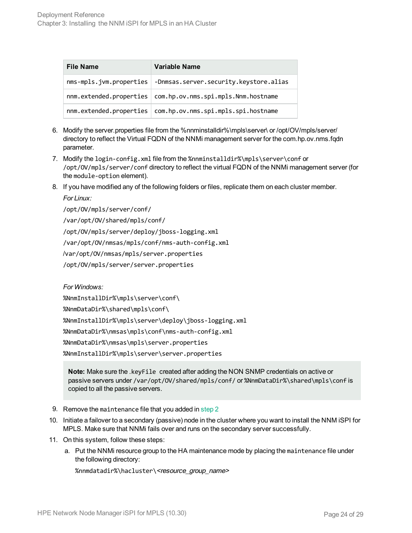| <b>File Name</b>        | Variable Name                                                 |
|-------------------------|---------------------------------------------------------------|
| nms-mpls.jvm.properties | -Dnmsas.server.security.keystore.alias                        |
|                         | nnm.extended.properties   com.hp.ov.nms.spi.mpls.Nnm.hostname |
| nnm.extended.properties | com.hp.ov.nms.spi.mpls.spi.hostname                           |

- 6. Modify the server.properties file from the %nnminstalldir%\mpls\server\ or /opt/OV/mpls/server/ directory to reflect the Virtual FQDN of the NNMi management server for the com.hp.ov.nms.fqdn parameter.
- 7. Modify the login-config.xml file from the %nnminstalldir%\mpls\server\conf or /opt/OV/mpls/server/conf directory to reflect the virtual FQDN of the NNMi management server (for the module-option element).
- 8. If you have modified any of the following folders or files, replicate them on each cluster member.

*For Linux:*

/opt/OV/mpls/server/conf/

/var/opt/OV/shared/mpls/conf/

/opt/OV/mpls/server/deploy/jboss-logging.xml

/var/opt/OV/nmsas/mpls/conf/nms-auth-config.xml

/var/opt/OV/nmsas/mpls/server.properties

/opt/OV/mpls/server/server.properties

*For Windows:*

%NnmInstallDir%\mpls\server\conf\

%NnmDataDir%\shared\mpls\conf\

%NnmInstallDir%\mpls\server\deploy\jboss-logging.xml

%NnmDataDir%\nmsas\mpls\conf\nms-auth-config.xml

%NnmDataDir%\nmsas\mpls\server.properties

%NnmInstallDir%\mpls\server\server.properties

**Note:** Make sure the .keyFile created after adding the NON SNMP credentials on active or passive servers under /var/opt/OV/shared/mpls/conf/ or %NnmDataDir%\shared\mpls\conf is copied to all the passive servers.

- 9. Remove the maintenance file that you added in [step 2](#page-22-1)
- 10. Initiate a failover to a secondary (passive) node in the cluster where you want to install the NNM iSPI for MPLS. Make sure that NNMi fails over and runs on the secondary server successfully.
- <span id="page-23-0"></span>11. On this system, follow these steps:
	- a. Put the NNMi resource group to the HA maintenance mode by placing the maintenance file under the following directory:

%nnmdatadir%\hacluster\<resource\_group\_name>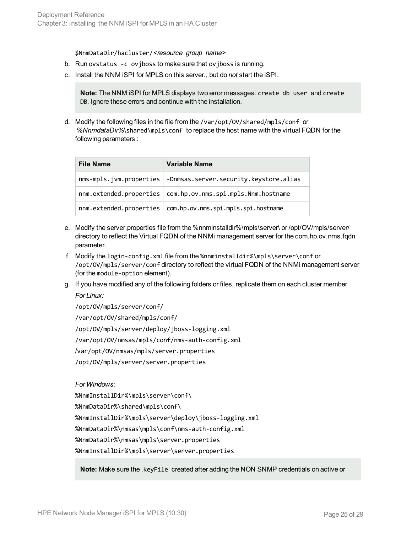\$NnmDataDir/hacluster/<resource group name>

- b. Run ovstatus -c oviboss to make sure that oviboss is running.
- c. Install the NNM iSPI for MPLS on this server., but do *not* start the iSPI.

**Note:** The NNM iSPI for MPLS displays two error messages: create db user and create DB. Ignore these errors and continue with the installation.

d. Modify the following files in the file from the /var/opt/OV/shared/mpls/conf or *%NnmdataDir%*\shared\mpls\conf to replace the host name with the virtual FQDN for the following parameters :

| <b>File Name</b>        | Variable Name                                                    |
|-------------------------|------------------------------------------------------------------|
|                         | nms-mpls.jvm.properties   -Dnmsas.server.security.keystore.alias |
|                         | nnm.extended.properties   com.hp.ov.nms.spi.mpls.Nnm.hostname    |
| nnm.extended.properties | com.hp.ov.nms.spi.mpls.spi.hostname                              |

- e. Modify the server.properties file from the %nnminstalldir%\mpls\server\ or /opt/OV/mpls/server/ directory to reflect the Virtual FQDN of the NNMi management server for the com.hp.ov.nms.fqdn parameter.
- f. Modify the login-config.xml file from the %nnminstalldir%\mpls\server\conf or /opt/OV/mpls/server/conf directory to reflect the virtual FQDN of the NNMi management server (for the module-option element).
- g. If you have modified any of the following folders or files, replicate them on each cluster member. *For Linux:*

/opt/OV/mpls/server/conf/ /var/opt/OV/shared/mpls/conf/ /opt/OV/mpls/server/deploy/jboss-logging.xml /var/opt/OV/nmsas/mpls/conf/nms-auth-config.xml /var/opt/OV/nmsas/mpls/server.properties /opt/OV/mpls/server/server.properties

*For Windows:*

%NnmInstallDir%\mpls\server\conf\ %NnmDataDir%\shared\mpls\conf\ %NnmInstallDir%\mpls\server\deploy\jboss-logging.xml %NnmDataDir%\nmsas\mpls\conf\nms-auth-config.xml %NnmDataDir%\nmsas\mpls\server.properties %NnmInstallDir%\mpls\server\server.properties

**Note:** Make sure the .keyFile created after adding the NON SNMP credentials on active or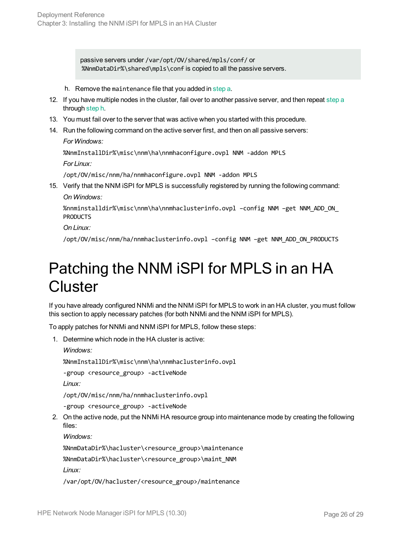passive servers under /var/opt/OV/shared/mpls/conf/ or %NnmDataDir%\shared\mpls\conf is copied to all the passive servers.

<span id="page-25-1"></span>h. Remove the maintenance file that you added in [step a.](#page-23-0)

- 12. If you have multiple nodes in the cluster, fail over to another passive server, and then repeat [step a](#page-23-0) through [step h](#page-25-1).
- 13. You must fail over to the server that was active when you started with this procedure.
- 14. Run the following command on the active server first, and then on all passive servers: *For Windows:*

%NnmInstallDir%\misc\nnm\ha\nnmhaconfigure.ovpl NNM -addon MPLS

*For Linux:*

/opt/OV/misc/nnm/ha/nnmhaconfigure.ovpl NNM -addon MPLS

15. Verify that the NNM iSPI for MPLS is successfully registered by running the following command: *On Windows:*

%nnminstalldir%\misc\nnm\ha\nnmhaclusterinfo.ovpl –config NNM –get NNM\_ADD\_ON\_ PRODUCTS

*On Linux:*

<span id="page-25-0"></span>/opt/OV/misc/nnm/ha/nnmhaclusterinfo.ovpl –config NNM –get NNM\_ADD\_ON\_PRODUCTS

## Patching the NNM iSPI for MPLS in an HA **Cluster**

If you have already configured NNMi and the NNM iSPI for MPLS to work in an HA cluster, you must follow this section to apply necessary patches (for both NNMi and the NNM iSPI for MPLS).

To apply patches for NNMi and NNM iSPI for MPLS, follow these steps:

1. Determine which node in the HA cluster is active:

*Windows:*

%NnmInstallDir%\misc\nnm\ha\nnmhaclusterinfo.ovpl

-group <resource\_group> -activeNode

*Linux:*

/opt/OV/misc/nnm/ha/nnmhaclusterinfo.ovpl

-group <resource\_group> -activeNode

2. On the active node, put the NNMi HA resource group into maintenance mode by creating the following files:

*Windows:*

%NnmDataDir%\hacluster\<resource\_group>\maintenance

%NnmDataDir%\hacluster\<resource\_group>\maint\_NNM

*Linux:*

/var/opt/OV/hacluster/<resource\_group>/maintenance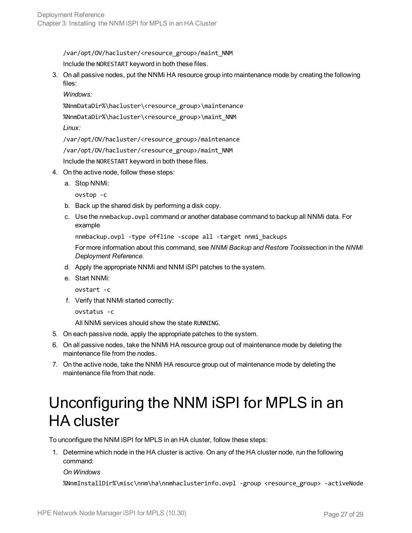/var/opt/OV/hacluster/<resource\_group>/maint\_NNM Include the NORESTART keyword in both these files.

3. On all passive nodes, put the NNMi HA resource group into maintenance mode by creating the following files:

*Windows:*

%NnmDataDir%\hacluster\<resource\_group>\maintenance

%NnmDataDir%\hacluster\<resource\_group>\maint\_NNM

*Linux:*

/var/opt/OV/hacluster/<resource\_group>/maintenance

/var/opt/OV/hacluster/<resource\_group>/maint\_NNM

Include the NORESTART keyword in both these files.

- 4. On the active node, follow these steps:
	- a. Stop NNMi:

ovstop -c

- b. Back up the shared disk by performing a disk copy.
- c. Use the nnmbackup.ovpl command or another database command to backup all NNMi data. For example

```
nnmbackup.ovpl -type offline -scope all -target nnmi_backups
```
For more information about this command, see *NNMi Backup and Restore Tools*section in the *NNMi Deployment Reference*.

- d. Apply the appropriate NNMi and NNM iSPI patches to the system.
- e. Start NNMi:
	- ovstart -c
- f. Verify that NNMi started correctly:

```
ovstatus -c
```
All NNMi services should show the state RUNNING.

- 5. On each passive node, apply the appropriate patches to the system.
- 6. On all passive nodes, take the NNMi HA resource group out of maintenance mode by deleting the maintenance file from the nodes.
- <span id="page-26-0"></span>7. On the active node, take the NNMi HA resource group out of maintenance mode by deleting the maintenance file from that node.

## Unconfiguring the NNM iSPI for MPLS in an HA cluster

To unconfigure the NNM iSPI for MPLS in an HA cluster, follow these steps:

1. Determine which node in the HA cluster is active. On any of the HA cluster node, run the following command:

#### *On Windows*

%NnmInstallDir%\misc\nnm\ha\nnmhaclusterinfo.ovpl -group <resource\_group> -activeNode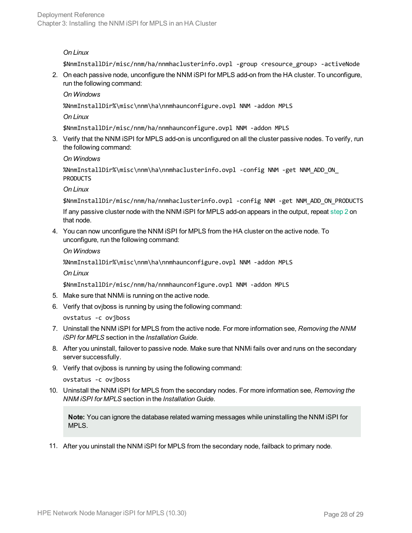#### *On Linux*

<span id="page-27-0"></span>\$NnmInstallDir/misc/nnm/ha/nnmhaclusterinfo.ovpl -group <resource\_group> -activeNode

2. On each passive node, unconfigure the NNM iSPI for MPLS add-on from the HA cluster. To unconfigure, run the following command:

*On Windows*

%NnmInstallDir%\misc\nnm\ha\nnmhaunconfigure.ovpl NNM -addon MPLS

*On Linux*

\$NnmInstallDir/misc/nnm/ha/nnmhaunconfigure.ovpl NNM -addon MPLS

3. Verify that the NNM iSPI for MPLS add-on is unconfigured on all the cluster passive nodes. To verify, run the following command:

*On Windows*

```
%NnmInstallDir%\misc\nnm\ha\nnmhaclusterinfo.ovpl -config NNM -get NNM_ADD_ON_
PRODUCTS
```
*On Linux*

\$NnmInstallDir/misc/nnm/ha/nnmhaclusterinfo.ovpl -config NNM -get NNM\_ADD\_ON\_PRODUCTS

If any passive cluster node with the NNM iSPI for MPLS add-on appears in the output, repeat [step 2](#page-27-0) on that node.

4. You can now unconfigure the NNM iSPI for MPLS from the HA cluster on the active node. To unconfigure, run the following command:

*On Windows*

%NnmInstallDir%\misc\nnm\ha\nnmhaunconfigure.ovpl NNM -addon MPLS

*On Linux*

\$NnmInstallDir/misc/nnm/ha/nnmhaunconfigure.ovpl NNM -addon MPLS

- 5. Make sure that NNMi is running on the active node.
- 6. Verify that ovjboss is running by using the following command:

ovstatus -c ovjboss

- 7. Uninstall the NNM iSPI for MPLS from the active node. For more information see, *Removing the NNM iSPI for MPLS* section in the *Installation Guide*.
- 8. After you uninstall, failover to passive node. Make sure that NNMi fails over and runs on the secondary server successfully.
- 9. Verify that ovjboss is running by using the following command:

ovstatus -c ovjboss

10. Uninstall the NNM iSPI for MPLS from the secondary nodes. For more information see, *Removing the NNM iSPI for MPLS* section in the *Installation Guide*.

**Note:** You can ignore the database related warning messages while uninstalling the NNM iSPI for MPLS.

11. After you uninstall the NNM iSPI for MPLS from the secondary node, failback to primary node.